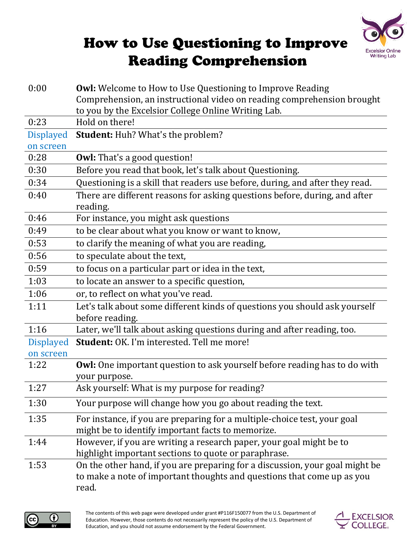

## How to Use Questioning to Improve **Reading Comprehension**

| 0:00             | <b>Owl:</b> Welcome to How to Use Questioning to Improve Reading<br>Comprehension, an instructional video on reading comprehension brought                      |
|------------------|-----------------------------------------------------------------------------------------------------------------------------------------------------------------|
|                  | to you by the Excelsior College Online Writing Lab.                                                                                                             |
| 0:23             | Hold on there!                                                                                                                                                  |
| <b>Displayed</b> | Student: Huh? What's the problem?                                                                                                                               |
| on screen        |                                                                                                                                                                 |
| 0:28             | <b>Owl:</b> That's a good question!                                                                                                                             |
| 0:30             | Before you read that book, let's talk about Questioning.                                                                                                        |
| 0:34             | Questioning is a skill that readers use before, during, and after they read.                                                                                    |
| 0:40             | There are different reasons for asking questions before, during, and after<br>reading.                                                                          |
| 0:46             | For instance, you might ask questions                                                                                                                           |
| 0:49             | to be clear about what you know or want to know,                                                                                                                |
| 0:53             | to clarify the meaning of what you are reading,                                                                                                                 |
| 0:56             | to speculate about the text,                                                                                                                                    |
| 0:59             | to focus on a particular part or idea in the text,                                                                                                              |
| 1:03             | to locate an answer to a specific question,                                                                                                                     |
| 1:06             | or, to reflect on what you've read.                                                                                                                             |
| 1:11             | Let's talk about some different kinds of questions you should ask yourself<br>before reading.                                                                   |
| 1:16             | Later, we'll talk about asking questions during and after reading, too.                                                                                         |
| <b>Displayed</b> | Student: OK. I'm interested. Tell me more!                                                                                                                      |
| on screen        |                                                                                                                                                                 |
| 1:22             | <b>Owl:</b> One important question to ask yourself before reading has to do with<br>your purpose.                                                               |
| 1:27             | Ask yourself: What is my purpose for reading?                                                                                                                   |
| 1:30             | Your purpose will change how you go about reading the text.                                                                                                     |
| 1:35             | For instance, if you are preparing for a multiple-choice test, your goal<br>might be to identify important facts to memorize.                                   |
| 1:44             | However, if you are writing a research paper, your goal might be to<br>highlight important sections to quote or paraphrase.                                     |
| 1:53             | On the other hand, if you are preparing for a discussion, your goal might be<br>to make a note of important thoughts and questions that come up as you<br>read. |



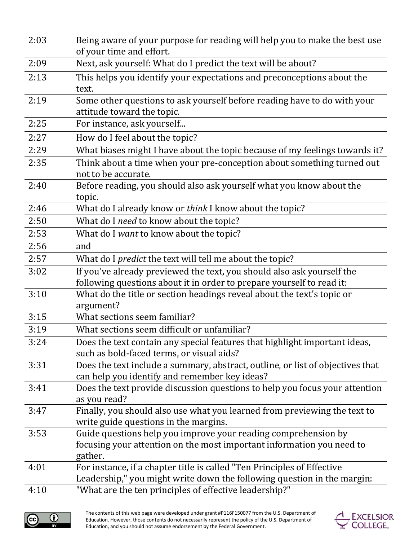| 2:03 | Being aware of your purpose for reading will help you to make the best use<br>of your time and effort.                                             |
|------|----------------------------------------------------------------------------------------------------------------------------------------------------|
| 2:09 | Next, ask yourself: What do I predict the text will be about?                                                                                      |
| 2:13 | This helps you identify your expectations and preconceptions about the<br>text.                                                                    |
| 2:19 | Some other questions to ask yourself before reading have to do with your<br>attitude toward the topic.                                             |
| 2:25 | For instance, ask yourself                                                                                                                         |
| 2:27 | How do I feel about the topic?                                                                                                                     |
| 2:29 | What biases might I have about the topic because of my feelings towards it?                                                                        |
| 2:35 | Think about a time when your pre-conception about something turned out<br>not to be accurate.                                                      |
| 2:40 | Before reading, you should also ask yourself what you know about the<br>topic.                                                                     |
| 2:46 | What do I already know or think I know about the topic?                                                                                            |
| 2:50 | What do I need to know about the topic?                                                                                                            |
| 2:53 | What do I want to know about the topic?                                                                                                            |
| 2:56 | and                                                                                                                                                |
| 2:57 | What do I <i>predict</i> the text will tell me about the topic?                                                                                    |
| 3:02 | If you've already previewed the text, you should also ask yourself the<br>following questions about it in order to prepare yourself to read it:    |
| 3:10 | What do the title or section headings reveal about the text's topic or<br>argument?                                                                |
| 3:15 | What sections seem familiar?                                                                                                                       |
| 3:19 | What sections seem difficult or unfamiliar?                                                                                                        |
| 3:24 | Does the text contain any special features that highlight important ideas,<br>such as bold-faced terms, or visual aids?                            |
| 3:31 | Does the text include a summary, abstract, outline, or list of objectives that<br>can help you identify and remember key ideas?                    |
| 3:41 | Does the text provide discussion questions to help you focus your attention<br>as you read?                                                        |
| 3:47 | Finally, you should also use what you learned from previewing the text to<br>write guide questions in the margins.                                 |
| 3:53 | Guide questions help you improve your reading comprehension by<br>focusing your attention on the most important information you need to<br>gather. |
| 4:01 | For instance, if a chapter title is called "Ten Principles of Effective<br>Leadership," you might write down the following question in the margin: |
| 4:10 | "What are the ten principles of effective leadership?"                                                                                             |



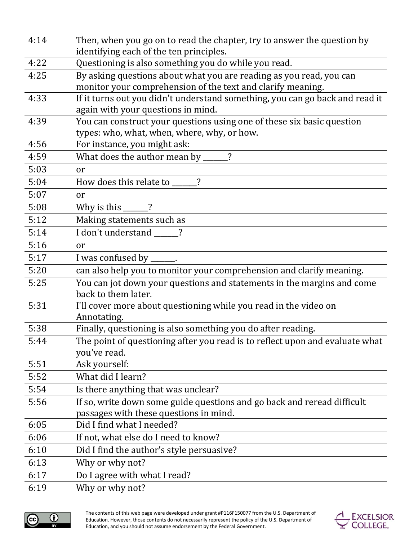| 4:14 | Then, when you go on to read the chapter, try to answer the question by                                                            |
|------|------------------------------------------------------------------------------------------------------------------------------------|
|      | identifying each of the ten principles.                                                                                            |
| 4:22 | Questioning is also something you do while you read.                                                                               |
| 4:25 | By asking questions about what you are reading as you read, you can<br>monitor your comprehension of the text and clarify meaning. |
| 4:33 | If it turns out you didn't understand something, you can go back and read it                                                       |
|      | again with your questions in mind.                                                                                                 |
| 4:39 | You can construct your questions using one of these six basic question                                                             |
|      | types: who, what, when, where, why, or how.                                                                                        |
| 4:56 | For instance, you might ask:                                                                                                       |
| 4:59 | What does the author mean by _____?                                                                                                |
| 5:03 | or                                                                                                                                 |
| 5:04 | How does this relate to _____?                                                                                                     |
| 5:07 | or                                                                                                                                 |
| 5:08 | Why is this $\_\_\_\_\$ ?                                                                                                          |
| 5:12 | Making statements such as                                                                                                          |
| 5:14 | I don't understand                                                                                                                 |
| 5:16 | or                                                                                                                                 |
| 5:17 | I was confused by _                                                                                                                |
| 5:20 | can also help you to monitor your comprehension and clarify meaning.                                                               |
| 5:25 | You can jot down your questions and statements in the margins and come                                                             |
|      | back to them later.                                                                                                                |
| 5:31 | I'll cover more about questioning while you read in the video on<br>Annotating.                                                    |
| 5:38 | Finally, questioning is also something you do after reading.                                                                       |
| 5:44 | The point of questioning after you read is to reflect upon and evaluate what<br>you've read.                                       |
| 5:51 | Ask yourself:                                                                                                                      |
| 5:52 | What did I learn?                                                                                                                  |
| 5:54 | Is there anything that was unclear?                                                                                                |
| 5:56 | If so, write down some guide questions and go back and reread difficult                                                            |
|      | passages with these questions in mind.                                                                                             |
| 6:05 | Did I find what I needed?                                                                                                          |
| 6:06 | If not, what else do I need to know?                                                                                               |
| 6:10 | Did I find the author's style persuasive?                                                                                          |
| 6:13 | Why or why not?                                                                                                                    |
| 6:17 | Do I agree with what I read?                                                                                                       |
| 6:19 | Why or why not?                                                                                                                    |